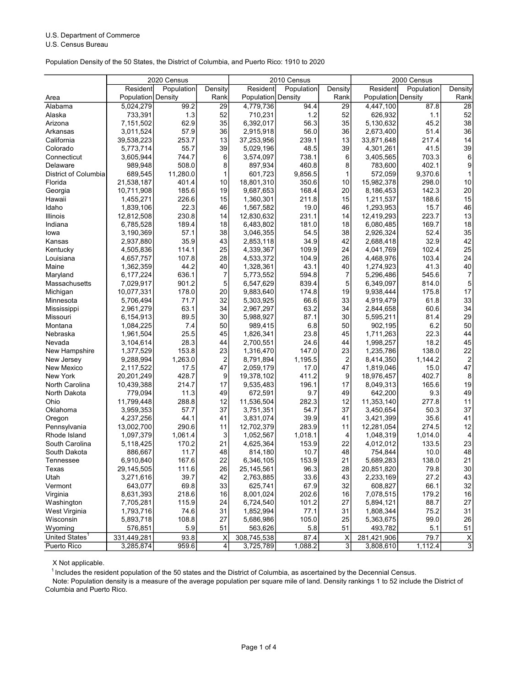## U.S. Department of Commerce

U.S. Census Bureau

Population Density of the 50 States, the District of Columbia, and Puerto Rico: 1910 to 2020

|                                           | 2020 Census<br>2010 Census |                |             | 2000 Census |                |                    |            |                |
|-------------------------------------------|----------------------------|----------------|-------------|-------------|----------------|--------------------|------------|----------------|
| Resident                                  | Population                 | Density        | Resident    | Population  | Density        | Resident           | Population | Density        |
| Population Density<br>Area                |                            | Rank           | Population  | Density     | Rank           | Population Density |            | Rank           |
| Alabama<br>5,024,279                      | 99.2                       | 29             | 4,779,736   | 94.4        | 29             | 4,447,100          | 87.8       | 28             |
| Alaska<br>733,391                         | 1.3                        | 52             | 710,231     | 1.2         | 52             | 626,932            | 1.1        | 52             |
| Arizona<br>7,151,502                      | 62.9                       | 35             | 6,392,017   | 56.3        | 35             | 5.130.632          | 45.2       | 38             |
| Arkansas<br>3,011,524                     | 57.9                       | 36             | 2,915,918   | 56.0        | 36             | 2,673,400          | 51.4       | 36             |
| 39,538,223<br>California                  | 253.7                      | 13             | 37,253,956  | 239.1       | 13             | 33,871,648         | 217.4      | 14             |
| Colorado<br>5,773,714                     | 55.7                       | 39             | 5,029,196   | 48.5        | 39             | 4,301,261          | 41.5       | 39             |
| Connecticut<br>3,605,944                  | 744.7                      | 6              | 3,574,097   | 738.1       | 6              | 3,405,565          | 703.3      | 6              |
| Delaware<br>989,948                       | 508.0                      | 8              | 897,934     | 460.8       | 8              | 783,600            | 402.1      | 9              |
| District of Columbia<br>689,545           | 11,280.0                   | 1              | 601,723     | 9,856.5     | $\mathbf{1}$   | 572,059            | 9,370.6    | 1              |
| Florida<br>21,538,187                     | 401.4                      | 10             | 18,801,310  | 350.6       | 10             | 15,982,378         | 298.0      | 10             |
| Georgia<br>10,711,908                     | 185.6                      | 19             | 9,687,653   | 168.4       | 20             | 8,186,453          | 142.3      | 20             |
| Hawaii<br>1,455,271                       | 226.6                      | 15             | 1,360,301   | 211.8       | 15             | 1,211,537          | 188.6      | 15             |
| 1,839,106<br>Idaho                        | 22.3                       | 46             | 1,567,582   | 19.0        | 46             | 1,293,953          | 15.7       | 46             |
| Illinois<br>12,812,508                    | 230.8                      | 14             | 12,830,632  | 231.1       | 14             | 12,419,293         | 223.7      | 13             |
| Indiana<br>6,785,528                      | 189.4                      | 18             | 6,483,802   | 181.0       | 18             | 6,080,485          | 169.7      | 18             |
| 3,190,369<br>lowa                         | 57.1                       | 38             | 3,046,355   | 54.5        | 38             | 2,926,324          | 52.4       | 35             |
| Kansas<br>2,937,880                       | 35.9                       | 43             | 2,853,118   | 34.9        | 42             | 2,688,418          | 32.9       | 42             |
| Kentucky<br>4,505,836                     | 114.1                      | 25             | 4,339,367   | 109.9       | 24             | 4,041,769          | 102.4      | 25             |
| Louisiana<br>4,657,757                    | 107.8                      | 28             | 4,533,372   | 104.9       | 26             | 4,468,976          | 103.4      | 24             |
| Maine<br>1,362,359                        | 44.2                       | 40             | 1,328,361   | 43.1        | 40             | 1,274,923          | 41.3       | 40             |
| 6,177,224<br>Maryland                     | 636.1                      | $\overline{7}$ | 5,773,552   | 594.8       | 7              | 5,296,486          | 545.6      | 7              |
| Massachusetts<br>7,029,917                | 901.2                      | 5              | 6,547,629   | 839.4       | 5              | 6,349,097          | 814.0      | 5              |
| 10,077,331<br>Michigan                    | 178.0                      | 20             | 9,883,640   | 174.8       | 19             | 9,938,444          | 175.8      | 17             |
| 5,706,494<br>Minnesota                    | 71.7                       | 32             | 5,303,925   | 66.6        | 33             | 4,919,479          | 61.8       | 33             |
| Mississippi<br>2,961,279                  | 63.1                       | 34             | 2,967,297   | 63.2        | 34             | 2,844,658          | 60.6       | 34             |
| 6,154,913<br>Missouri                     | 89.5                       | 30             | 5,988,927   | 87.1        | 30             | 5,595,211          | 81.4       | 29             |
| Montana<br>1,084,225                      | 7.4                        | 50             | 989,415     | 6.8         | 50             | 902,195            | 6.2        | 50             |
| Nebraska<br>1,961,504                     | 25.5                       | 45             | 1,826,341   | 23.8        | 45             | 1,711,263          | 22.3       | 44             |
| 3,104,614<br>Nevada                       | 28.3                       | 44             | 2,700,551   | 24.6        | 44             | 1,998,257          | 18.2       | 45             |
| New Hampshire<br>1,377,529                | 153.8                      | 23             | 1,316,470   | 147.0       | 23             | 1,235,786          | 138.0      | 22             |
| 9,288,994<br>New Jersey                   | 1,263.0                    | $\overline{c}$ | 8,791,894   | 1,195.5     | $\overline{2}$ | 8,414,350          | 1,144.2    | $\overline{2}$ |
| New Mexico<br>2,117,522                   | 17.5                       | 47             | 2,059,179   | 17.0        | 47             | 1,819,046          | 15.0       | 47             |
| New York<br>20,201,249                    | 428.7                      | 9              | 19,378,102  | 411.2       | 9              | 18,976,457         | 402.7      | 8              |
| North Carolina<br>10,439,388              | 214.7                      | 17             | 9,535,483   | 196.1       | 17             | 8,049,313          | 165.6      | 19             |
| North Dakota<br>779,094                   | 11.3                       | 49             | 672,591     | 9.7         | 49             | 642,200            | 9.3        | 49             |
| Ohio<br>11,799,448                        | 288.8                      | 12             | 11,536,504  | 282.3       | 12             | 11,353,140         | 277.8      | 11             |
| Oklahoma<br>3,959,353                     | 57.7                       | 37             | 3,751,351   | 54.7        | 37             | 3,450,654          | 50.3       | 37             |
| Oregon<br>4,237,256                       | 44.1                       | 41             | 3,831,074   | 39.9        | 41             | 3,421,399          | 35.6       | 41             |
| 13,002,700<br>Pennsylvania                | 290.6                      | 11             | 12,702,379  | 283.9       | 11             | 12,281,054         | 274.5      | 12             |
| Rhode Island<br>1,097,379                 | 1,061.4                    | 3              | 1,052,567   | 1,018.1     | 4              | 1,048,319          | 1,014.0    | 4              |
| South Carolina<br>5,118,425               | 170.2                      | 21             | 4,625,364   | 153.9       | 22             | 4,012,012          | 133.5      | 23             |
| South Dakota<br>886,667                   | 11.7                       | 48             | 814,180     | 10.7        | 48             | 754,844            | 10.0       | 48             |
| 6,910,840<br>Tennessee                    | 167.6                      | 22             | 6,346,105   | 153.9       | 21             | 5,689,283          | 138.0      | 21             |
| Texas<br>29,145,505                       | 111.6                      | 26             | 25,145,561  | 96.3        | 28             | 20,851,820         | 79.8       | 30             |
| Utah<br>3,271,616                         | 39.7                       | 42             | 2,763,885   | 33.6        | 43             | 2,233,169          | 27.2       | 43             |
| Vermont<br>643,077                        | 69.8                       | 33             | 625,741     | 67.9        | 32             | 608,827            | 66.1       | 32             |
| Virginia<br>8,631,393                     | 218.6                      | 16             | 8,001,024   | 202.6       | 16             | 7,078,515          | 179.2      | 16             |
| Washington<br>7,705,281                   | 115.9                      | 24             | 6,724,540   | 101.2       | 27             | 5,894,121          | 88.7       | 27             |
| West Virginia<br>1,793,716                | 74.6                       | 31             | 1,852,994   | 77.1        | 31             | 1,808,344          | 75.2       | 31             |
| Wisconsin<br>5,893,718                    | 108.8                      | 27             | 5,686,986   | 105.0       | 25             | 5,363,675          | 99.0       | 26             |
| 576,851<br>Wyoming                        | 5.9                        | 51             | 563,626     | 5.8         | 51             | 493,782            | 5.1        | 51             |
| United States <sup>1</sup><br>331,449,281 | 93.8                       | Χ              | 308,745,538 | 87.4        | Χ              | 281,421,906        | 79.7       | X              |
| Puerto Rico<br>3,285,874                  | 959.6                      | 4              | 3,725,789   | 1,088.2     | $\overline{3}$ | 3,808,610          | 1,112.4    | $\overline{3}$ |

X Not applicable.

 $1$  Includes the resident population of the 50 states and the District of Columbia, as ascertained by the Decennial Census.

 Columbia and Puerto Rico. Note: Population density is a measure of the average population per square mile of land. Density rankings 1 to 52 include the District of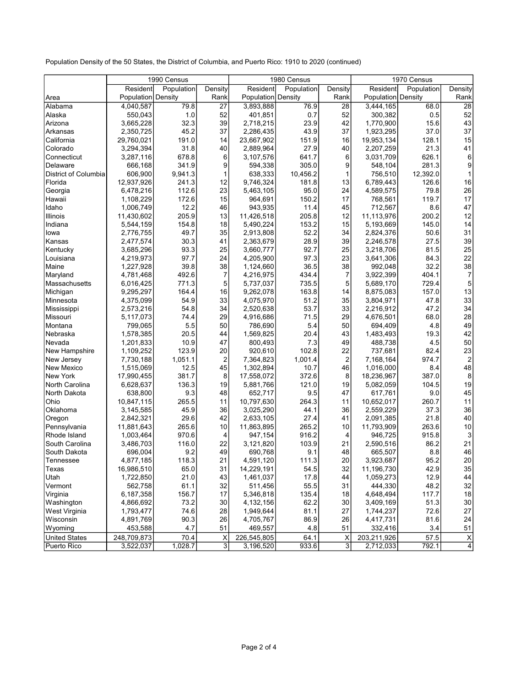Population Density of the 50 States, the District of Columbia, and Puerto Rico: 1910 to 2020 (continued)

|                      | 1990 Census        |            |                         | 1980 Census        |            |                         | 1970 Census |            |                |
|----------------------|--------------------|------------|-------------------------|--------------------|------------|-------------------------|-------------|------------|----------------|
|                      | Resident           | Population | Density                 | Resident           | Population | Density                 | Resident    | Population | Density        |
| Area                 | Population Density |            | Rank                    | Population Density |            | Rank                    | Population  | Density    | Rank           |
| Alabama              | 4,040,587          | 79.8       | 27                      | 3,893,888          | 76.9       | 28                      | 3,444,165   | 68.0       | 28             |
| Alaska               | 550,043            | 1.0        | 52                      | 401,851            | 0.7        | 52                      | 300,382     | 0.5        | 52             |
| Arizona              | 3,665,228          | 32.3       | 39                      | 2,718,215          | 23.9       | 42                      | 1,770,900   | 15.6       | 43             |
| Arkansas             | 2,350,725          | 45.2       | 37                      | 2,286,435          | 43.9       | 37                      | 1,923,295   | 37.0       | 37             |
| California           | 29,760,021         | 191.0      | 14                      | 23,667,902         | 151.9      | 16                      | 19,953,134  | 128.1      | 15             |
| Colorado             | 3,294,394          | 31.8       | 40                      | 2,889,964          | 27.9       | 40                      | 2,207,259   | 21.3       | 41             |
| Connecticut          | 3,287,116          | 678.8      | 6                       | 3,107,576          | 641.7      | 6                       | 3,031,709   | 626.1      | 6              |
| Delaware             | 666,168            | 341.9      | 9                       | 594,338            | 305.0      | 9                       | 548,104     | 281.3      | 9              |
| District of Columbia | 606,900            | 9,941.3    | 1                       | 638,333            | 10,456.2   | $\mathbf{1}$            | 756,510     | 12,392.0   |                |
| Florida              | 12,937,926         | 241.3      | 12                      | 9,746,324          | 181.8      | 13                      | 6,789,443   | 126.6      | 16             |
| Georgia              | 6,478,216          | 112.6      | 23                      | 5,463,105          | 95.0       | 24                      | 4,589,575   | 79.8       | 26             |
| Hawaii               | 1,108,229          | 172.6      | 15                      | 964,691            | 150.2      | 17                      | 768,561     | 119.7      | 17             |
| Idaho                | 1,006,749          | 12.2       | 46                      | 943,935            | 11.4       | 45                      | 712,567     | 8.6        | 47             |
| Illinois             | 11,430,602         | 205.9      | 13                      | 11,426,518         | 205.8      | 12                      | 11,113,976  | 200.2      | 12             |
| Indiana              | 5,544,159          | 154.8      | 18                      | 5,490,224          | 153.2      | 15                      | 5,193,669   | 145.0      | 14             |
| lowa                 | 2,776,755          | 49.7       | 35                      | 2,913,808          | 52.2       | 34                      | 2,824,376   | 50.6       | 31             |
| Kansas               | 2,477,574          | 30.3       | 41                      | 2,363,679          | 28.9       | 39                      | 2,246,578   | 27.5       | 39             |
| Kentucky             | 3,685,296          | 93.3       | 25                      | 3,660,777          | 92.7       | 25                      | 3,218,706   | 81.5       | 25             |
| Louisiana            | 4,219,973          | 97.7       | 24                      | 4,205,900          | 97.3       | 23                      | 3,641,306   | 84.3       | 22             |
| Maine                | 1,227,928          | 39.8       | 38                      | 1,124,660          | 36.5       | 38                      | 992,048     | 32.2       | 38             |
| Maryland             | 4,781,468          | 492.6      | 7                       | 4,216,975          | 434.4      | 7                       | 3,922,399   | 404.1      | 7              |
| Massachusetts        | 6,016,425          | 771.3      | 5                       | 5,737,037          | 735.5      | 5                       | 5,689,170   | 729.4      | 5              |
| Michigan             | 9,295,297          | 164.4      | 16                      | 9,262,078          | 163.8      | 14                      | 8,875,083   | 157.0      | 13             |
| Minnesota            | 4,375,099          | 54.9       | 33                      | 4,075,970          | 51.2       | 35                      | 3,804,971   | 47.8       | 33             |
| Mississippi          | 2,573,216          | 54.8       | 34                      | 2,520,638          | 53.7       | 33                      | 2,216,912   | 47.2       | 34             |
| Missouri             | 5,117,073          | 74.4       | 29                      | 4,916,686          | 71.5       | 29                      | 4,676,501   | 68.0       | 28             |
| Montana              | 799,065            | 5.5        | 50                      | 786,690            | 5.4        | 50                      | 694,409     | 4.8        | 49             |
| Nebraska             | 1,578,385          | 20.5       | 44                      | 1,569,825          | 20.4       | 43                      | 1,483,493   | 19.3       | 42             |
| Nevada               | 1,201,833          | 10.9       | 47                      | 800,493            | 7.3        | 49                      | 488,738     | 4.5        | 50             |
| New Hampshire        | 1,109,252          | 123.9      | 20                      | 920,610            | 102.8      | 22                      | 737,681     | 82.4       | 23             |
| New Jersey           | 7,730,188          | 1,051.1    | $\overline{\mathbf{c}}$ | 7,364,823          | 1,001.4    | $\overline{\mathbf{c}}$ | 7,168,164   | 974.7      | $\overline{2}$ |
| New Mexico           | 1,515,069          | 12.5       | 45                      | 1,302,894          | 10.7       | 46                      | 1,016,000   | 8.4        | 48             |
| New York             | 17,990,455         | 381.7      | 8                       | 17,558,072         | 372.6      | 8                       | 18,236,967  | 387.0      | 8              |
| North Carolina       | 6,628,637          | 136.3      | 19                      | 5,881,766          | 121.0      | 19                      | 5,082,059   | 104.5      | 19             |
| North Dakota         | 638,800            | 9.3        | 48                      | 652,717            | 9.5        | 47                      | 617,761     | 9.0        | 45             |
| Ohio                 | 10,847,115         | 265.5      | 11                      | 10,797,630         | 264.3      | 11                      | 10,652,017  | 260.7      | 11             |
| Oklahoma             | 3,145,585          | 45.9       | 36                      | 3,025,290          | 44.1       | 36                      | 2,559,229   | 37.3       | 36             |
| Oregon               | 2,842,321          | 29.6       | 42                      | 2,633,105          | 27.4       | 41                      | 2,091,385   | 21.8       | 40             |
| Pennsylvania         | 11,881,643         | 265.6      | 10                      | 11,863,895         | 265.2      | 10                      | 11,793,909  | 263.6      | 10             |
| Rhode Island         | 1,003,464          | 970.6      | 4                       | 947,154            | 916.2      | 4                       | 946,725     | 915.8      | 3              |
| South Carolina       | 3,486,703          | 116.0      | 22                      | 3,121,820          | 103.9      | 21                      | 2,590,516   | 86.2       | 21             |
| South Dakota         | 696,004            | 9.2        | 49                      | 690,768            | 9.1        | 48                      | 665,507     | 8.8        | 46             |
| Tennessee            | 4,877,185          | 118.3      | 21                      | 4,591,120          | 111.3      | 20                      | 3,923,687   | 95.2       | 20             |
| Texas                | 16,986,510         | 65.0       | 31                      | 14,229,191         | 54.5       | 32                      | 11,196,730  | 42.9       | 35             |
| Utah                 | 1,722,850          | 21.0       | 43                      | 1,461,037          | 17.8       | 44                      | 1,059,273   | 12.9       | 44             |
| Vermont              | 562,758            | 61.1       | 32                      | 511,456            | 55.5       | 31                      | 444,330     | 48.2       | 32             |
| Virginia             | 6,187,358          | 156.7      | 17                      | 5,346,818          | 135.4      | 18                      | 4,648,494   | 117.7      | 18             |
| Washington           | 4,866,692          | 73.2       | 30                      | 4,132,156          | 62.2       | 30                      | 3,409,169   | 51.3       | 30             |
| West Virginia        | 1,793,477          | 74.6       | 28                      | 1,949,644          | 81.1       | 27                      | 1,744,237   | 72.6       | 27             |
| Wisconsin            | 4,891,769          | 90.3       | 26                      | 4,705,767          | 86.9       | 26                      | 4,417,731   | 81.6       | 24             |
| Wyoming              | 453,588            | 4.7        | 51                      | 469,557            | 4.8        | 51                      | 332,416     | 3.4        | 51             |
| <b>United States</b> | 248,709,873        | 70.4       | Χ                       | 226,545,805        | 64.1       | Χ                       | 203,211,926 | 57.5       | X              |
| Puerto Rico          | 3,522,037          | 1,028.7    | 3                       | 3,196,520          | 933.6      | 3                       | 2,712,033   | 792.1      | 4              |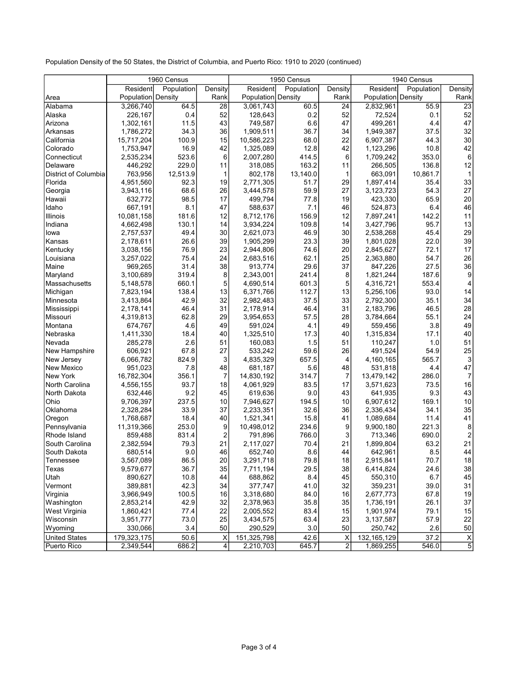Population Density of the 50 States, the District of Columbia, and Puerto Rico: 1910 to 2020 (continued)

|                           | 1960 Census          |               |                               | 1950 Census            |            |                | 1940 Census        |            |                |
|---------------------------|----------------------|---------------|-------------------------------|------------------------|------------|----------------|--------------------|------------|----------------|
|                           | Resident             | Population    | Density                       | Resident               | Population | Density        | Resident           | Population | Density        |
| Area                      | Population Density   |               | Rank                          | Population Density     |            | Rank           | Population Density |            | Rank           |
| Alabama                   | 3,266,740            | 64.5          | 28                            | 3,061,743              | 60.5       | 24             | 2,832,961          | 55.9       | 23             |
| Alaska                    | 226,167              | 0.4           | 52                            | 128,643                | 0.2        | 52             | 72,524             | 0.1        | 52             |
| Arizona                   | 1,302,161            | 11.5          | 43                            | 749,587                | 6.6        | 47             | 499,261            | 4.4        | 47             |
| Arkansas                  | 1,786,272            | 34.3          | 36                            | 1,909,511              | 36.7       | 34             | 1,949,387          | 37.5       | 32             |
| California                | 15,717,204           | 100.9         | 15                            | 10,586,223             | 68.0       | 22             | 6,907,387          | 44.3       | 30             |
| Colorado                  | 1,753,947            | 16.9          | 42                            | 1,325,089              | 12.8       | 42             | 1,123,296          | 10.8       | 42             |
| Connecticut               | 2,535,234            | 523.6         | 6                             | 2,007,280              | 414.5      | 6              | 1,709,242          | 353.0      | 6              |
| Delaware                  | 446,292              | 229.0         | 11                            | 318,085                | 163.2      | 11             | 266,505            | 136.8      | 12             |
| District of Columbia      | 763,956              | 12,513.9      | 1                             | 802.178                | 13,140.0   | $\mathbf{1}$   | 663,091            | 10,861.7   | $\mathbf 1$    |
| Florida                   | 4,951,560            | 92.3          | 19                            | 2,771,305              | 51.7       | 29             | 1,897,414          | 35.4       | 33             |
| Georgia                   | 3,943,116            | 68.6          | 26                            | 3,444,578              | 59.9       | 27             | 3,123,723          | 54.3       | 27             |
| Hawaii                    | 632,772              | 98.5          | 17                            | 499,794                | 77.8       | 19             | 423,330            | 65.9       | 20             |
| Idaho                     | 667,191              | 8.1           | 47                            | 588,637                | 7.1        | 46             | 524,873            | 6.4        | 46             |
| Illinois                  | 10,081,158           | 181.6         | 12                            | 8,712,176              | 156.9      | 12             | 7,897,241          | 142.2      | 11             |
| Indiana                   | 4,662,498            | 130.1         | 14                            | 3,934,224              | 109.8      | 14             | 3,427,796          | 95.7       | 13             |
| lowa                      | 2,757,537            | 49.4          | 30                            | 2,621,073              | 46.9       | 30             | 2,538,268          | 45.4       | 29             |
| Kansas                    | 2,178,611            | 26.6          | 39                            | 1,905,299              | 23.3       | 39             | 1,801,028          | 22.0       | 39             |
| Kentucky                  | 3,038,156            | 76.9          | 23                            | 2,944,806              | 74.6       | 20             | 2,845,627          | 72.1       | 17             |
| Louisiana                 | 3,257,022            | 75.4          | 24                            | 2,683,516              | 62.1       | 25             | 2,363,880          | 54.7       | 26             |
| Maine                     | 969,265              | 31.4          | 38                            | 913,774                | 29.6       | 37             | 847,226            | 27.5       | 36             |
| Maryland                  | 3,100,689            | 319.4         | 8                             | 2,343,001              | 241.4      | 8              | 1,821,244          | 187.6      | 9              |
| Massachusetts             | 5,148,578            | 660.1         | 5                             | 4,690,514              | 601.3      | 5              | 4,316,721          | 553.4      | 4              |
| Michigan                  | 7,823,194            | 138.4         | 13                            | 6,371,766              | 112.7      | 13             | 5,256,106          | 93.0       | 14             |
| Minnesota                 | 3,413,864            | 42.9          | 32                            | 2,982,483              | 37.5       | 33             | 2,792,300          | 35.1       | 34             |
| Mississippi               | 2,178,141            | 46.4          | 31                            | 2,178,914              | 46.4       | 31             | 2,183,796          | 46.5       | 28             |
| Missouri                  | 4,319,813            | 62.8          | 29                            | 3,954,653              | 57.5       | 28             | 3,784,664          | 55.1       | 24             |
| Montana                   | 674,767              | 4.6           | 49                            | 591,024                | 4.1        | 49             | 559,456            | 3.8        | 49             |
| Nebraska                  | 1,411,330            | 18.4          | 40                            | 1,325,510              | 17.3       | 40             | 1,315,834          | 17.1       | 40             |
| Nevada                    | 285,278              | 2.6           | 51                            | 160,083                | 1.5        | 51             | 110,247            | 1.0        | 51             |
| New Hampshire             | 606,921              | 67.8          | 27                            | 533,242                | 59.6       | 26             | 491,524            | 54.9       | 25             |
| New Jersey                | 6,066,782            | 824.9         | 3                             | 4,835,329              | 657.5      | 4              | 4,160,165          | 565.7      | 3              |
| New Mexico                | 951,023              | 7.8           | 48                            | 681,187                | 5.6        | 48             | 531,818            | 4.4        | 47             |
| <b>New York</b>           | 16,782,304           | 356.1         | $\overline{7}$                | 14,830,192             | 314.7      | $\overline{7}$ | 13,479,142         | 286.0      | 7              |
| North Carolina            | 4,556,155            | 93.7          | 18                            | 4,061,929              | 83.5       | 17             | 3,571,623          | 73.5       | 16             |
| North Dakota              | 632,446              | 9.2           | 45                            | 619,636                | 9.0        | 43             | 641,935            | 9.3        | 43             |
| Ohio                      | 9,706,397            | 237.5         | 10                            |                        | 194.5      | 10             | 6,907,612          | 169.1      | 10             |
| Oklahoma                  | 2,328,284            | 33.9          | 37                            | 7,946,627<br>2,233,351 | 32.6       | 36             | 2,336,434          | 34.1       | 35             |
| Oregon                    | 1,768,687            | 18.4          | 40                            | 1,521,341              | 15.8       | 41             | 1,089,684          | 11.4       | 41             |
| Pennsylvania              | 11,319,366           | 253.0         | 9                             | 10,498,012             | 234.6      | 9              | 9,900,180          | 221.3      | 8              |
|                           |                      |               |                               |                        | 766.0      | 3              |                    | 690.0      |                |
| Rhode Island              | 859,488<br>2,382,594 | 831.4<br>79.3 | $\overline{\mathbf{c}}$<br>21 | 791,896                |            |                | 713,346            |            | 2<br>21        |
| South Carolina            |                      |               | 46                            | 2,117,027              | 70.4       | 21<br>44       | 1,899,804          | 63.2       |                |
| South Dakota<br>Tennessee | 680,514              | 9.0<br>86.5   | 20 <sup>1</sup>               | 652,740                | 8.6        | 18             | 642,961            | 8.5        | 44<br>18       |
|                           | 3,567,089            |               |                               | 3,291,718              | 79.8       |                | 2,915,841          | 70.7       |                |
| Texas                     | 9,579,677            | 36.7          | 35                            | 7,711,194              | 29.5       | 38             | 6,414,824          | 24.6       | 38             |
| Utah                      | 890,627              | 10.8          | 44                            | 688,862                | 8.4        | 45             | 550,310            | 6.7        | 45             |
| Vermont                   | 389,881              | 42.3          | 34                            | 377,747                | 41.0       | 32             | 359,231            | 39.0       | 31             |
| Virginia                  | 3,966,949            | 100.5         | 16                            | 3,318,680              | 84.0       | 16             | 2,677,773          | 67.8       | 19             |
| Washington                | 2,853,214            | 42.9          | 32                            | 2,378,963              | 35.8       | 35             | 1,736,191          | 26.1       | 37             |
| West Virginia             | 1,860,421            | 77.4          | 22                            | 2,005,552              | 83.4       | 15             | 1,901,974          | 79.1       | 15             |
| Wisconsin                 | 3,951,777            | 73.0          | 25                            | 3,434,575              | 63.4       | 23             | 3,137,587          | 57.9       | 22             |
| Wyoming                   | 330,066              | 3.4           | 50                            | 290,529                | 3.0        | 50             | 250,742            | 2.6        | 50             |
| <b>United States</b>      | 179,323,175          | 50.6          | X                             | 151,325,798            | 42.6       | X              | 132,165,129        | 37.2       | X              |
| Puerto Rico               | 2,349,544            | 686.2         | 4                             | 2,210,703              | 645.7      | $\overline{2}$ | 1,869,255          | 546.0      | $\overline{5}$ |